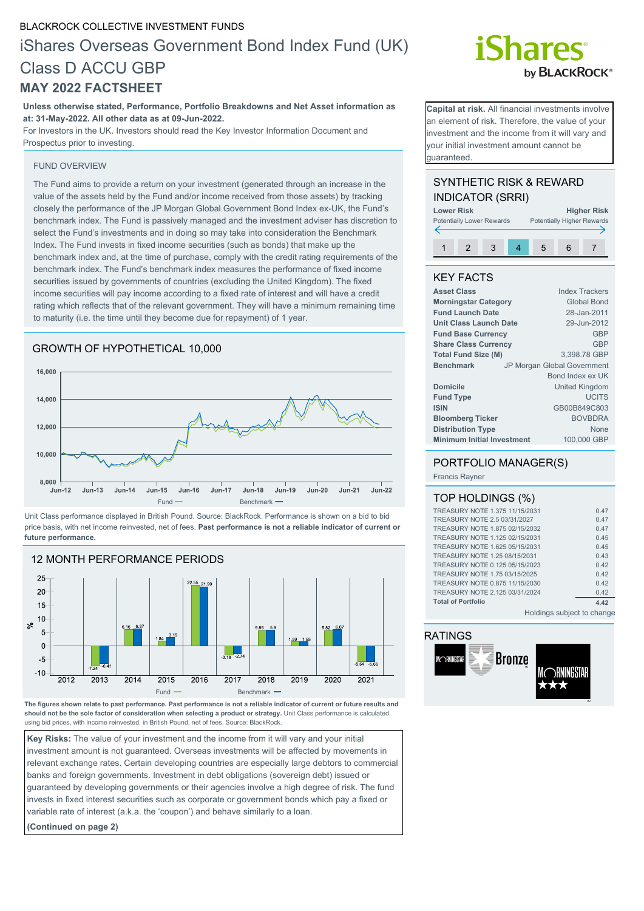#### BLACKROCK COLLECTIVE INVESTMENT FUNDS

### iShares Overseas Government Bond Index Fund (UK) Class D ACCU GBP **MAY 2022 FACTSHEET**

**Unless otherwise stated, Performance, Portfolio Breakdowns and Net Asset information as at: 31-May-2022. All other data as at 09-Jun-2022.**

For Investors in the UK. Investors should read the Key Investor Information Document and Prospectus prior to investing.

#### FUND OVERVIEW

The Fund aims to provide a return on your investment (generated through an increase in the value of the assets held by the Fund and/or income received from those assets) by tracking closely the performance of the JP Morgan Global Government Bond Index ex-UK, the Fund's benchmark index. The Fund is passively managed and the investment adviser has discretion to select the Fund's investments and in doing so may take into consideration the Benchmark Index. The Fund invests in fixed income securities (such as bonds) that make up the benchmark index and, at the time of purchase, comply with the credit rating requirements of the benchmark index. The Fund's benchmark index measures the performance of fixed income securities issued by governments of countries (excluding the United Kingdom). The fixed income securities will pay income according to a fixed rate of interest and will have a credit rating which reflects that of the relevant government. They will have a minimum remaining time to maturity (i.e. the time until they become due for repayment) of 1 year.

#### GROWTH OF HYPOTHETICAL 10,000



Unit Class performance displayed in British Pound. Source: BlackRock. Performance is shown on a bid to bid price basis, with net income reinvested, net of fees. **Past performance is not a reliable indicator of current or future performance.**



**The figures shown relate to past performance. Past performance is not a reliable indicator of current or future results and should not be the sole factor of consideration when selecting a product or strategy.** Unit Class performance is calculated using bid prices, with income reinvested, in British Pound, net of fees. Source: BlackRock.

**Key Risks:** The value of your investment and the income from it will vary and your initial investment amount is not guaranteed. Overseas investments will be affected by movements in relevant exchange rates. Certain developing countries are especially large debtors to commercial banks and foreign governments. Investment in debt obligations (sovereign debt) issued or guaranteed by developing governments or their agencies involve a high degree of risk. The fund invests in fixed interest securities such as corporate or government bonds which pay a fixed or variable rate of interest (a.k.a. the 'coupon') and behave similarly to a loan.

**(Continued on page 2)**

## *iShares* by **BLACKROCK**<sup>®</sup>

**Capital at risk.** All financial investments involve an element of risk. Therefore, the value of your nvestment and the income from it will vary and your initial investment amount cannot be guaranteed.

#### SYNTHETIC RISK & REWARD INDICATOR (SRRI)



#### KEY FACTS

| <b>Asset Class</b>                         | <b>Index Trackers</b>       |
|--------------------------------------------|-----------------------------|
| <b>Morningstar Category</b>                | <b>Global Bond</b>          |
| <b>Fund Launch Date</b>                    | 28-Jan-2011                 |
| <b>Unit Class Launch Date</b>              | 29-Jun-2012                 |
| <b>Fund Base Currency</b>                  | <b>GBP</b>                  |
| <b>Share Class Currency</b>                | GBP                         |
| 3,398.78 GBP<br><b>Total Fund Size (M)</b> |                             |
| <b>Benchmark</b>                           | JP Morgan Global Government |
|                                            | Bond Index ex UK            |
| <b>Domicile</b>                            | United Kingdom              |
| <b>Fund Type</b>                           | <b>UCITS</b>                |
| <b>ISIN</b>                                | GB00B849C803                |
| <b>Bloomberg Ticker</b>                    | <b>BOVBDRA</b>              |
| <b>Distribution Type</b>                   | <b>None</b>                 |
| <b>Minimum Initial Investment</b>          | 100,000 GBP                 |

#### PORTFOLIO MANAGER(S)

Francis Rayner

#### TOP HOLDINGS (%)

| TREASURY NOTE 1.375 11/15/2031 | 0.47 |
|--------------------------------|------|
| TREASURY NOTE 2.5 03/31/2027   | 0.47 |
| TREASURY NOTE 1.875 02/15/2032 | 0.47 |
| TREASURY NOTE 1.125 02/15/2031 | 0.45 |
| TREASURY NOTE 1.625 05/15/2031 | 0.45 |
| TREASURY NOTE 1.25 08/15/2031  | 0.43 |
| TREASURY NOTE 0.125 05/15/2023 | 0.42 |
| TREASURY NOTE 1.75 03/15/2025  | 0.42 |
| TREASURY NOTE 0.875 11/15/2030 | 0.42 |
| TREASURY NOTE 2.125 03/31/2024 | 0.42 |
| <b>Total of Portfolio</b>      | 4.42 |
|                                |      |

Holdings subject to change

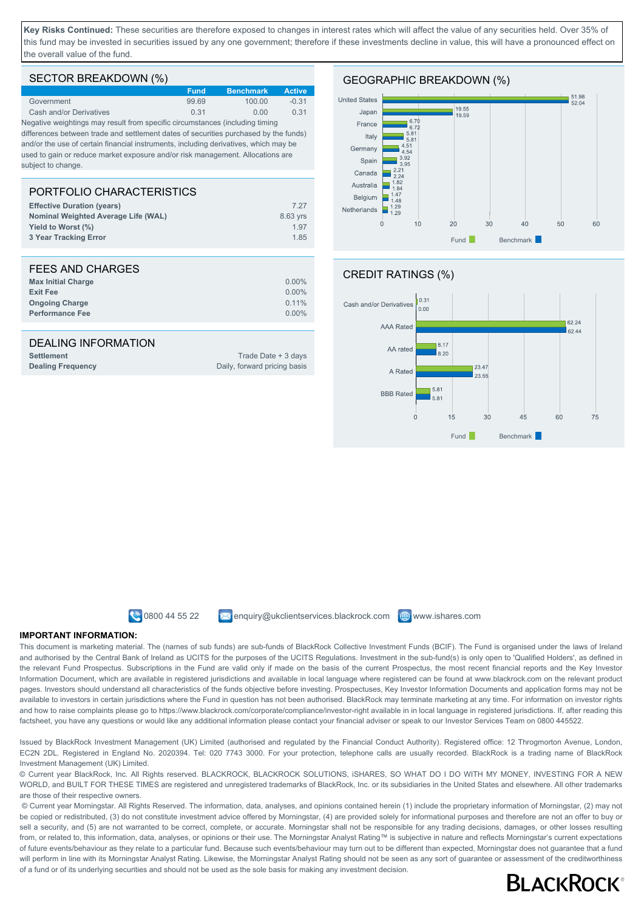**Key Risks Continued:** These securities are therefore exposed to changes in interest rates which will affect the value of any securities held. Over 35% of this fund may be invested in securities issued by any one government; therefore if these investments decline in value, this will have a pronounced effect on the overall value of the fund.

#### SECTOR BREAKDOWN (%)

|                         | <b>Fund</b> | <b>Benchmark</b> | <b>Active</b> |
|-------------------------|-------------|------------------|---------------|
| Government              | 9969        | 100.00           | $-0.31$       |
| Cash and/or Derivatives | 0.31        | 0.00             | 0.31          |

Negative weightings may result from specific circumstances (including timing differences between trade and settlement dates of securities purchased by the funds) and/or the use of certain financial instruments, including derivatives, which may be used to gain or reduce market exposure and/or risk management. Allocations are subject to change

#### PORTFOLIO CHARACTERISTICS **Effective Duration (years)** 7.27 **Nominal Weighted Average Life (WAL)** 8.63 yrs **Yield to Worst (%)** 1.97 **3 Year Tracking Error** 1.85

| FEES AND CHARGES          |          |
|---------------------------|----------|
| <b>Max Initial Charge</b> | $0.00\%$ |
| <b>Exit Fee</b>           | $0.00\%$ |
| <b>Ongoing Charge</b>     | $0.11\%$ |
| <b>Performance Fee</b>    | $0.00\%$ |

#### DEALING INFORMATION

**Settlement** Trade Date + 3 days

# **Dealing Frequency** Daily, forward pricing basis









**0800 44 55 22** Menquiry@ukclientservices.blackrock.com **@www.ishares.com** 

#### **IMPORTANT INFORMATION:**

This document is marketing material. The (names of sub funds) are sub-funds of BlackRock Collective Investment Funds (BCIF). The Fund is organised under the laws of Ireland and authorised by the Central Bank of Ireland as UCITS for the purposes of the UCITS Regulations. Investment in the sub-fund(s) is only open to 'Qualified Holders', as defined in the relevant Fund Prospectus. Subscriptions in the Fund are valid only if made on the basis of the current Prospectus, the most recent financial reports and the Key Investor Information Document, which are available in registered jurisdictions and available in local language where registered can be found at www.blackrock.com on the relevant product pages. Investors should understand all characteristics of the funds objective before investing. Prospectuses, Key Investor Information Documents and application forms may not be available to investors in certain jurisdictions where the Fund in question has not been authorised. BlackRock may terminate marketing at any time. For information on investor rights and how to raise complaints please go to https://www.blackrock.com/corporate/compliance/investor-right available in in local language in registered jurisdictions. If, after reading this factsheet, you have any questions or would like any additional information please contact your financial adviser or speak to our Investor Services Team on 0800 445522.

Issued by BlackRock Investment Management (UK) Limited (authorised and regulated by the Financial Conduct Authority). Registered office: 12 Throgmorton Avenue, London, EC2N 2DL. Registered in England No. 2020394. Tel: 020 7743 3000. For your protection, telephone calls are usually recorded. BlackRock is a trading name of BlackRock Investment Management (UK) Limited.

© Current year BlackRock, Inc. All Rights reserved. BLACKROCK, BLACKROCK SOLUTIONS, iSHARES, SO WHAT DO I DO WITH MY MONEY, INVESTING FOR A NEW WORLD, and BUILT FOR THESE TIMES are registered and unregistered trademarks of BlackRock, Inc. or its subsidiaries in the United States and elsewhere. All other trademarks are those of their respective owners.

 © Current year Morningstar. All Rights Reserved. The information, data, analyses, and opinions contained herein (1) include the proprietary information of Morningstar, (2) may not be copied or redistributed, (3) do not constitute investment advice offered by Morningstar, (4) are provided solely for informational purposes and therefore are not an offer to buy or sell a security, and (5) are not warranted to be correct, complete, or accurate. Morningstar shall not be responsible for any trading decisions, damages, or other losses resulting from, or related to, this information, data, analyses, or opinions or their use. The Morningstar Analyst Rating™ is subjective in nature and reflects Morningstar's current expectations of future events/behaviour as they relate to a particular fund. Because such events/behaviour may turn out to be different than expected, Morningstar does not guarantee that a fund will perform in line with its Morningstar Analyst Rating. Likewise, the Morningstar Analyst Rating should not be seen as any sort of guarantee or assessment of the creditworthiness of a fund or of its underlying securities and should not be used as the sole basis for making any investment decision.

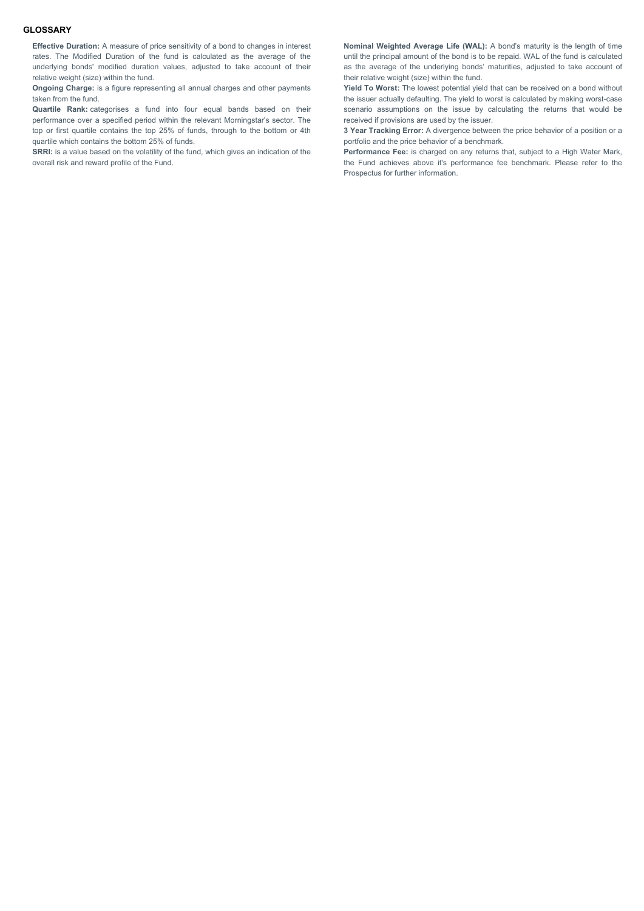#### **GLOSSARY**

**Effective Duration:** A measure of price sensitivity of a bond to changes in interest rates. The Modified Duration of the fund is calculated as the average of the underlying bonds' modified duration values, adjusted to take account of their relative weight (size) within the fund.

**Ongoing Charge:** is a figure representing all annual charges and other payments taken from the fund.

**Quartile Rank:** categorises a fund into four equal bands based on their performance over a specified period within the relevant Morningstar's sector. The top or first quartile contains the top 25% of funds, through to the bottom or 4th quartile which contains the bottom 25% of funds.

**SRRI:** is a value based on the volatility of the fund, which gives an indication of the overall risk and reward profile of the Fund.

**Nominal Weighted Average Life (WAL):** A bond's maturity is the length of time until the principal amount of the bond is to be repaid. WAL of the fund is calculated as the average of the underlying bonds' maturities, adjusted to take account of their relative weight (size) within the fund.

**Yield To Worst:** The lowest potential yield that can be received on a bond without the issuer actually defaulting. The yield to worst is calculated by making worst-case scenario assumptions on the issue by calculating the returns that would be received if provisions are used by the issuer.

**3 Year Tracking Error:** A divergence between the price behavior of a position or a portfolio and the price behavior of a benchmark.

**Performance Fee:** is charged on any returns that, subject to a High Water Mark, the Fund achieves above it's performance fee benchmark. Please refer to the Prospectus for further information.